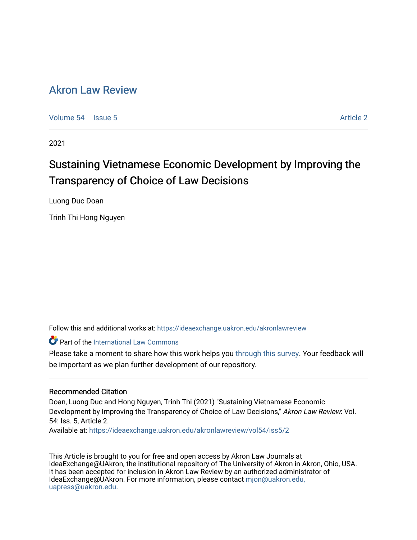# [Akron Law Review](https://ideaexchange.uakron.edu/akronlawreview)

[Volume 54](https://ideaexchange.uakron.edu/akronlawreview/vol54) Session 5 Article 2

2021

# Sustaining Vietnamese Economic Development by Improving the Transparency of Choice of Law Decisions

Luong Duc Doan

Trinh Thi Hong Nguyen

Follow this and additional works at: [https://ideaexchange.uakron.edu/akronlawreview](https://ideaexchange.uakron.edu/akronlawreview?utm_source=ideaexchange.uakron.edu%2Fakronlawreview%2Fvol54%2Fiss5%2F2&utm_medium=PDF&utm_campaign=PDFCoverPages)

**C** Part of the International Law Commons

Please take a moment to share how this work helps you [through this survey](http://survey.az1.qualtrics.com/SE/?SID=SV_eEVH54oiCbOw05f&URL=https://ideaexchange.uakron.edu/akronlawreview/vol54/iss5/2). Your feedback will be important as we plan further development of our repository.

# Recommended Citation

Doan, Luong Duc and Hong Nguyen, Trinh Thi (2021) "Sustaining Vietnamese Economic Development by Improving the Transparency of Choice of Law Decisions," Akron Law Review: Vol. 54: Iss. 5, Article 2.

Available at: [https://ideaexchange.uakron.edu/akronlawreview/vol54/iss5/2](https://ideaexchange.uakron.edu/akronlawreview/vol54/iss5/2?utm_source=ideaexchange.uakron.edu%2Fakronlawreview%2Fvol54%2Fiss5%2F2&utm_medium=PDF&utm_campaign=PDFCoverPages) 

This Article is brought to you for free and open access by Akron Law Journals at IdeaExchange@UAkron, the institutional repository of The University of Akron in Akron, Ohio, USA. It has been accepted for inclusion in Akron Law Review by an authorized administrator of IdeaExchange@UAkron. For more information, please contact [mjon@uakron.edu,](mailto:mjon@uakron.edu,%20uapress@uakron.edu) [uapress@uakron.edu.](mailto:mjon@uakron.edu,%20uapress@uakron.edu)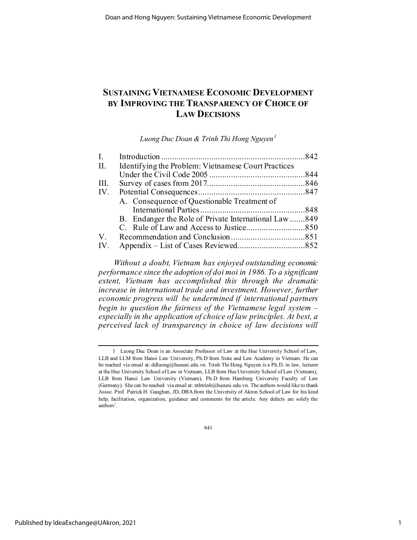# **SUSTAINING VIETNAMESE ECONOMIC DEVELOPMENT BY IMPROVING THE TRANSPARENCY OF CHOICE OF LAW DECISIONS**

*Luong Duc Doan & Trinh Thi Hong Nguyen[1](#page-1-0)*

| $\mathbf{I}$ . |                                                      |  |
|----------------|------------------------------------------------------|--|
| П.             | Identifying the Problem: Vietnamese Court Practices  |  |
|                |                                                      |  |
| III.           |                                                      |  |
| IV.            |                                                      |  |
|                | A. Consequence of Questionable Treatment of          |  |
|                |                                                      |  |
|                | B. Endanger the Role of Private International Law849 |  |
|                |                                                      |  |
| $V_{\cdot}$    |                                                      |  |
| IV.            |                                                      |  |
|                |                                                      |  |

*Without a doubt, Vietnam has enjoyed outstanding economic performance since the adoption of doi moi in 1986. To a significant extent, Vietnam has accomplished this through the dramatic increase in international trade and investment. However, further economic progress will be undermined if international partners begin to question the fairness of the Vietnamese legal system – especially in the application of choice of law principles. At best, a perceived lack of transparency in choice of law decisions will* 

841

<span id="page-1-0"></span><sup>1</sup> Luong Duc Doan is an Associate Professor of Law at the Hue University School of Law, LLB and LLM from Hanoi Law University, Ph.D from State and Law Academy in Vietnam. He can be reached via email at: ddluong@hueuni.edu.vn. Trinh Thi Hong Nguyen is a Ph.D. in law, lecturer at the Hue University School of Law in Vietnam, LLB from Hue University School of Law (Vietnam), LLB from Hanoi Law University (Vietnam), Ph.D from Hamburg University Faculty of Law (Germany). She can be reached via email at: nthtrinh@hueuni.edu.vn. The authors would like to thank Assoc. Prof. Patrick H. Gaughan, JD, DBA from the University of Akron School of Law for his kind help, facilitation, organization, guidance and comments for the article. Any defects are solely the authors'.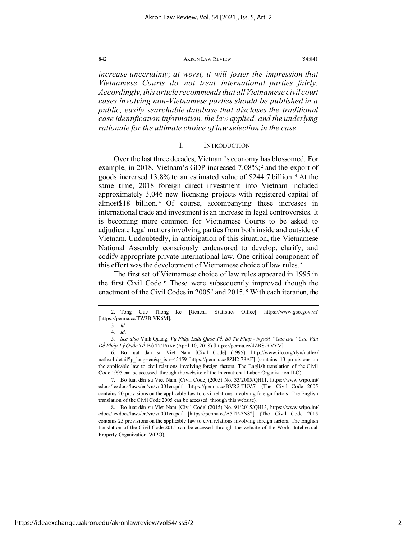*increase uncertainty; at worst, it will foster the impression that Vietnamese Courts do not treat international parties fairly. Accordingly, this article recommends that all Vietnamese civil court cases involving non-Vietnamese parties should be published in a public, easily searchable database that discloses the traditional case identification information, the law applied, and the underlying rationale for the ultimate choice of law selection in the case.*

#### I. INTRODUCTION

Over the last three decades, Vietnam's economy has blossomed. For example, in [2](#page-2-0)018, Vietnam's GDP increased 7.08%;<sup>2</sup> and the export of goods increased 13.8% to an estimated value of \$244.7 billion. [3](#page-2-1) At the same time, 2018 foreign direct investment into Vietnam included approximately 3,046 new licensing projects with registered capital of almost\$18 billion. [4](#page-2-2) Of course, accompanying these increases in international trade and investment is an increase in legal controversies. It is becoming more common for Vietnamese Courts to be asked to adjudicate legal matters involving parties from both inside and outside of Vietnam. Undoubtedly, in anticipation of this situation, the Vietnamese National Assembly consciously endeavored to develop, clarify, and codify appropriate private international law. One critical component of this effort was the development of Vietnamese choice of law rules. [5](#page-2-3)

The first set of Vietnamese choice of law rules appeared in 1995 in the first Civil Code. [6](#page-2-4) These were subsequently improved though the enactment of the Civil Codes in 2005[7](#page-2-5) and 2015. [8](#page-2-6) With each iteration, the

<span id="page-2-5"></span>7. Bo luat dân su Viet Nam [Civil Code] (2005) No. 33/2005/QH11, [https://www.wipo.int/](https://www.wipo.int/edocs/lexdocs/laws/en/vn/vn001en.pdf) [edocs/lexdocs/laws/en/vn/vn001en.pdf](https://www.wipo.int/edocs/lexdocs/laws/en/vn/vn001en.pdf) [https://perma.cc/BVR2-TUV5] (The Civil Code 2005 contains 20 provisions on the applicable law to civil relations involving foreign factors. The English translation of the Civil Code 2005 can be accessed through this website).

<span id="page-2-6"></span>8. Bo luat dân su Viet Nam [Civil Code] (2015) No. 91/2015/QH13, https://www.wipo.int/ edocs/lexdocs/laws/en/vn/vn001en.pdf [https://perma.cc/A5TP-7N82] (The Civil Code 2015 contains 25 provisions on the applicable law to civil relations involving foreign factors. The English translation of the Civil Code 2015 can be accessed through the website of the World Intellectual Property Organization WIPO).

<span id="page-2-1"></span><span id="page-2-0"></span><sup>2.</sup> Tong Cuc Thong Ke [General Statistics Office] https://www.gso.gov.vn/ [https://perma.cc/TW3B-VK6M].

<sup>3</sup>*. Id.*

<sup>4</sup>*. Id*.

<span id="page-2-3"></span><span id="page-2-2"></span><sup>5</sup>*. See also* Vinh Quang, *Vụ Pháp Luật Quốc Tế, Bộ Tư Pháp - Người "Gác cửa" Các Vấn Dề Pháp Lý Quốc Tế,* BỘ TƯ PHÁP (April 10, 2018) [https://perma.cc/4ZBS-RVYV].

<span id="page-2-4"></span><sup>6.</sup> Bo luat dân su Viet Nam [Civil Code] (1995), http://www.ilo.org/dyn/natlex/ natlex4.detail?p\_lang=en&p\_isn=45459 [https://perma.cc/8ZH2-78AF] (contains 13 provisions on the applicable law to civil relations involving foreign factors. The English translation of the Civil Code 1995 can be accessed through the website of the International Labor Organization ILO).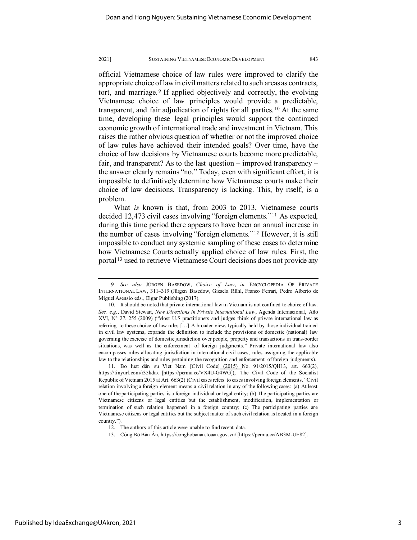official Vietnamese choice of law rules were improved to clarify the appropriate choice of law in civil matters related to such areas as contracts, tort, and marriage. [9](#page-3-0) If applied objectively and correctly, the evolving Vietnamese choice of law principles would provide a predictable, transparent, and fair adjudication of rights for all parties. [10](#page-3-1) At the same time, developing these legal principles would support the continued economic growth of international trade and investment in Vietnam. This raises the rather obvious question of whether or not the improved choice of law rules have achieved their intended goals? Over time, have the choice of law decisions by Vietnamese courts become more predictable, fair, and transparent? As to the last question – improved transparency – the answer clearly remains "no." Today, even with significant effort, it is impossible to definitively determine how Vietnamese courts make their choice of law decisions. Transparency is lacking. This, by itself, is a problem.

What *is* known is that, from 2003 to 2013, Vietnamese courts decided 12,473 civil cases involving "foreign elements."[11](#page-3-2) As expected, during this time period there appears to have been an annual increase in the number of cases involving "foreign elements."[12](#page-3-3) However, it is still impossible to conduct any systemic sampling of these cases to determine how Vietnamese Courts actually applied choice of law rules. First, the portal<sup>[13](#page-3-4)</sup> used to retrieve Vietnamese Court decisions does not provide any

<span id="page-3-2"></span>11. Bo luat dân su Viet Nam [Civil Code] (2015) No. 91/2015/QH13, art. 663(2), https://tinyurl.com/r35kdax [https://perma.cc/VX4U-G4WG]); The Civil Code of the Socialist Republic of Vietnam 2015 at Art. 663(2) (Civil cases refers to cases involving foreign elements. "Civil relation involving a foreign element means a civil relation in any of the following cases: (a) At least one of the participating parties is a foreign individual or legal entity; (b) The participating parties are Vietnamese citizens or legal entities but the establishment, modification, implementation or termination of such relation happened in a foreign country; (c) The participating parties are Vietnamese citizens or legal entities but the subject matter of such civil relation is located in a foreign country.").

13. Công Bõ Bàn Án, https://congbobanan.toaan.gov.vn/ [https://perma.cc/AB3M-UF82].

<span id="page-3-0"></span><sup>9</sup>*. See also* JÜRGEN BASEDOW, *Choice of Law*, *in* ENCYCLOPEDIA OF PRIVATE INTERNATIONAL LAW, 311–319 (Jürgen Basedow, Giesela Rühl, Franco Ferrari, Pedro Alberto de Miguel Asensio eds., Elgar Publishing (2017).

<span id="page-3-1"></span><sup>10.</sup> It should be noted that private international law in Vietnam is not confined to choice of law. *See, e*.*g*., David Stewart, *New Directions in Private International Law*, Agenda Internacional, Año XVI, N° 27, 255 (2009) ("Most U.S practitioners and judges think of private international law as referring to these choice of law rules […] A broader view, typically held by those individual trained in civil law systems, expands the definition to include the provisions of domestic (national) law governing the exercise of domestic jurisdiction over people, property and transactions in trans-border situations, was well as the enforcement of foreign judgments." Private international law also encompasses rules allocating jurisdiction in international civil cases, rules assigning the applicable law to the relationships and rules pertaining the recognition and enforcement of foreign judgments).

<span id="page-3-4"></span><span id="page-3-3"></span><sup>12.</sup> The authors of this article were unable to find recent data.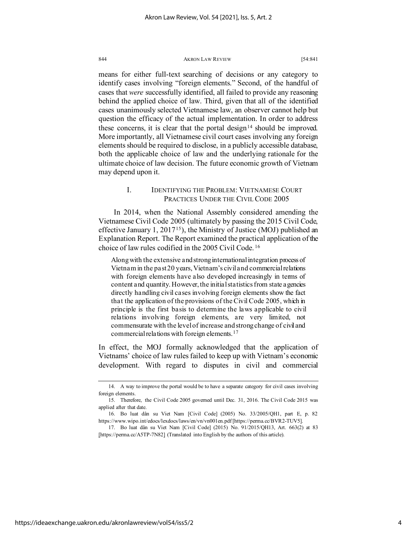means for either full-text searching of decisions or any category to identify cases involving "foreign elements." Second, of the handful of cases that *were* successfully identified, all failed to provide any reasoning behind the applied choice of law. Third, given that all of the identified cases unanimously selected Vietnamese law, an observer cannot help but question the efficacy of the actual implementation. In order to address these concerns, it is clear that the portal design<sup>[14](#page-4-0)</sup> should be improved. More importantly, all Vietnamese civil court cases involving any foreign elements should be required to disclose, in a publicly accessible database, both the applicable choice of law and the underlying rationale for the ultimate choice of law decision. The future economic growth of Vietnam may depend upon it.

# I. IDENTIFYING THE PROBLEM: VIETNAMESE COURT PRACTICES UNDER THE CIVIL CODE 2005

In 2014, when the National Assembly considered amending the Vietnamese Civil Code 2005 (ultimately by passing the 2015 Civil Code, effective January 1,  $2017^{15}$  $2017^{15}$  $2017^{15}$ , the Ministry of Justice (MOJ) published an Explanation Report. The Report examined the practical application of the choice of law rules codified in the 2005 Civil Code. [16](#page-4-2)

Along with the extensive and strong international integration process of Vietnam in the past 20 years, Vietnam's civil and commercial relations with foreign elements have also developed increasingly in terms of content and quantity. However, the initial statistics from state agencies directly handling civil cases involving foreign elements show the fact that the application of the provisions of the Civil Code 2005, which in principle is the first basis to determine the laws applicable to civil relations involving foreign elements, are very limited, not commensurate with the level of increase and strong change of civil and commercial relations with foreign elements.[17](#page-4-3)

In effect, the MOJ formally acknowledged that the application of Vietnams' choice of law rules failed to keep up with Vietnam's economic development. With regard to disputes in civil and commercial

<span id="page-4-0"></span><sup>14.</sup> A way to improve the portal would be to have a separate category for civil cases involving foreign elements.

<span id="page-4-1"></span><sup>15.</sup> Therefore, the Civil Code 2005 governed until Dec. 31, 2016. The Civil Code 2015 was applied after that date.

<span id="page-4-2"></span><sup>16.</sup> Bo luat dân su Viet Nam [Civil Code] (2005) No. 33/2005/QH1, part E, p. 82 https://www.wipo.int/edocs/lexdocs/laws/en/vn/vn001en.pdf [https://perma.cc/BVR2-TUV5].

<span id="page-4-3"></span><sup>17.</sup> Bo luat dân su Viet Nam [Civil Code] (2015) No. 91/2015/QH13, Art. 663(2) at 83 [https://perma.cc/A5TP-7N82] (Translated into English by the authors of this article).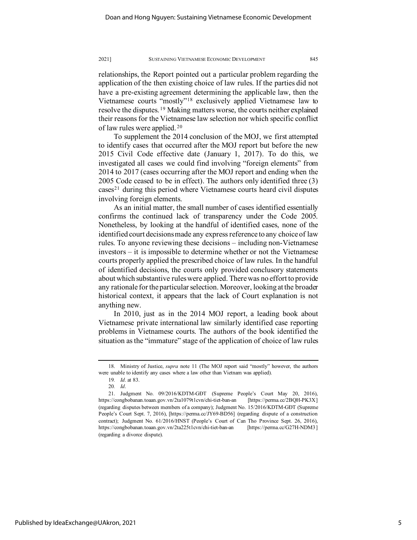relationships, the Report pointed out a particular problem regarding the application of the then existing choice of law rules. If the parties did not have a pre-existing agreement determining the applicable law, then the Vietnamese courts "mostly"[18](#page-5-0) exclusively applied Vietnamese law to resolve the disputes. [19](#page-5-1) Making matters worse, the courts neither explained their reasons for the Vietnamese law selection nor which specific conflict of law rules were applied. [20](#page-5-2)

To supplement the 2014 conclusion of the MOJ, we first attempted to identify cases that occurred after the MOJ report but before the new 2015 Civil Code effective date (January 1, 2017). To do this, we investigated all cases we could find involving "foreign elements" from 2014 to 2017 (cases occurring after the MOJ report and ending when the 2005 Code ceased to be in effect). The authors only identified three (3)  $\csc^{21}$  $\csc^{21}$  $\csc^{21}$  during this period where Vietnamese courts heard civil disputes involving foreign elements.

As an initial matter, the small number of cases identified essentially confirms the continued lack of transparency under the Code 2005. Nonetheless, by looking at the handful of identified cases, none of the identified court decisions made any express reference to any choice of law rules. To anyone reviewing these decisions – including non-Vietnamese investors – it is impossible to determine whether or not the Vietnamese courts properly applied the prescribed choice of law rules. In the handful of identified decisions, the courts only provided conclusory statements about which substantive rules were applied. There was no effort to provide any rationale for the particular selection. Moreover, looking at the broader historical context, it appears that the lack of Court explanation is not anything new.

In 2010, just as in the 2014 MOJ report, a leading book about Vietnamese private international law similarly identified case reporting problems in Vietnamese courts. The authors of the book identified the situation as the "immature" stage of the application of choice of law rules

<span id="page-5-0"></span><sup>18.</sup> Ministry of Justice, *supra* note 11 (The MOJ report said "mostly" however, the authors were unable to identify any cases where a law other than Vietnam was applied).

<sup>19</sup>*. Id*. at 83.

<sup>20</sup>*. Id*.

<span id="page-5-3"></span><span id="page-5-2"></span><span id="page-5-1"></span><sup>21.</sup> Judgment No. 09/2016/KDTM-GĐT (Supreme People's Court May 20, 2016), https://congbobanan.toaan.gov.vn/2ta1079t1cvn/chi-tiet-ban-an [https://perma.cc/2BQH-PK3X] (regarding disputes between members of a company); Judgment No. 15/2016/KDTM-GĐT (Supreme People's Court Sept. 7, 2016), [https://perma.cc/JY69-BD56] (regarding dispute of a construction contract); Judgment No. 61/2016/HNST (People's Court of Can Tho Province Sept. 26, 2016), https://congbobanan.toaan.gov.vn/2ta225t1cvn/chi-tiet-ban-an [https://perma.cc/G27H-NDM3] (regarding a divorce dispute).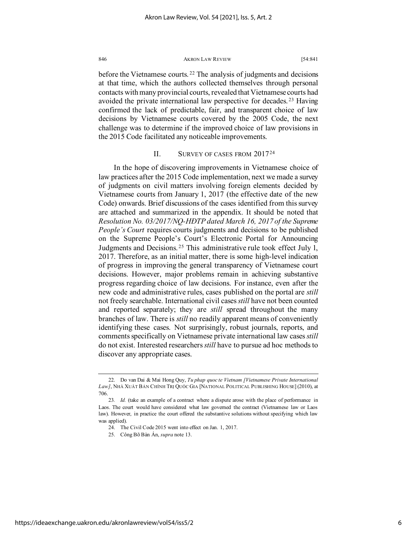before the Vietnamese courts. [22](#page-6-0) The analysis of judgments and decisions at that time, which the authors collected themselves through personal contacts with many provincial courts, revealed that Vietnamese courts had avoided the private international law perspective for decades. [23](#page-6-1) Having confirmed the lack of predictable, fair, and transparent choice of law decisions by Vietnamese courts covered by the 2005 Code, the next challenge was to determine if the improved choice of law provisions in the 2015 Code facilitated any noticeable improvements.

# II. SURVEY OF CASES FROM 2017[24](#page-6-2)

In the hope of discovering improvements in Vietnamese choice of law practices after the 2015 Code implementation, next we made a survey of judgments on civil matters involving foreign elements decided by Vietnamese courts from January 1, 2017 (the effective date of the new Code) onwards. Brief discussions of the cases identified from this survey are attached and summarized in the appendix. It should be noted that *Resolution No. 03/2017/NQ-HĐTP dated March 16, 2017 of the Supreme People's Court* requires courts judgments and decisions to be published on the Supreme People's Court's Electronic Portal for Announcing Judgments and Decisions. [25](#page-6-3) This administrative rule took effect July 1, 2017. Therefore, as an initial matter, there is some high-level indication of progress in improving the general transparency of Vietnamese court decisions. However, major problems remain in achieving substantive progress regarding choice of law decisions. For instance, even after the new code and administrative rules, cases published on the portal are *still* not freely searchable. International civil cases *still* have not been counted and reported separately; they are *still* spread throughout the many branches of law. There is *still* no readily apparent means of conveniently identifying these cases. Not surprisingly, robust journals, reports, and comments specifically on Vietnamese private international law cases *still* do not exist. Interested researchers *still* have to pursue ad hoc methods to discover any appropriate cases.

<span id="page-6-0"></span><sup>22.</sup> Do van Dai & Mai Hong Quy, *Tu phap quoc te Vietnam [Vietnamese Private International Law]*, NHÀ XUẤT BẢN CHÍNH TRỊ QUỐC GIA [NATIONAL POLITICAL PUBLISHING HOUSE] (2010), at 706.

<span id="page-6-3"></span><span id="page-6-2"></span><span id="page-6-1"></span><sup>23</sup>*. Id.* (take an example of a contract where a dispute arose with the place of performance in Laos. The court would have considered what law governed the contract (Vietnamese law or Laos law). However, in practice the court offered the substantive solutions without specifying which law was applied).

<sup>24.</sup> The Civil Code 2015 went into effect on Jan. 1, 2017.

<sup>25.</sup> Công Bõ Bàn Án, *supra* note 13.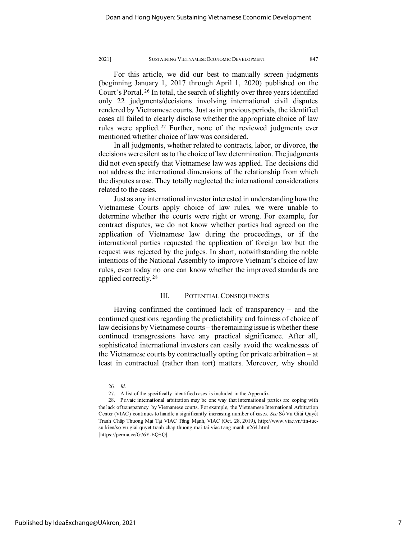For this article, we did our best to manually screen judgments (beginning January 1, 2017 through April 1, 2020) published on the Court's Portal. [26](#page-7-0) In total, the search of slightly over three years identified only 22 judgments/decisions involving international civil disputes rendered by Vietnamese courts. Just as in previous periods, the identified cases all failed to clearly disclose whether the appropriate choice of law rules were applied.<sup>[27](#page-7-1)</sup> Further, none of the reviewed judgments ever mentioned whether choice of law was considered.

In all judgments, whether related to contracts, labor, or divorce, the decisions were silent as to the choice of law determination. The judgments did not even specify that Vietnamese law was applied. The decisions did not address the international dimensions of the relationship from which the disputes arose. They totally neglected the international considerations related to the cases.

Just as any international investor interested in understanding how the Vietnamese Courts apply choice of law rules, we were unable to determine whether the courts were right or wrong. For example, for contract disputes, we do not know whether parties had agreed on the application of Vietnamese law during the proceedings, or if the international parties requested the application of foreign law but the request was rejected by the judges. In short, notwithstanding the noble intentions of the National Assembly to improve Vietnam's choice of law rules, even today no one can know whether the improved standards are applied correctly. [28](#page-7-2)

## III. POTENTIAL CONSEQUENCES

Having confirmed the continued lack of transparency – and the continued questions regarding the predictability and fairness of choice of law decisions by Vietnamese courts – the remaining issue is whether these continued transgressions have any practical significance. After all, sophisticated international investors can easily avoid the weaknesses of the Vietnamese courts by contractually opting for private arbitration – at least in contractual (rather than tort) matters. Moreover, why should

Published by IdeaExchange@UAkron, 2021

<sup>26</sup>*. Id*.

<sup>27.</sup> A list of the specifically identified cases is included in the Appendix.

<span id="page-7-2"></span><span id="page-7-1"></span><span id="page-7-0"></span><sup>28.</sup> Private international arbitration may be one way that international parties are coping with the lack of transparency by Vietnamese courts. For example, the Vietnamese International Arbitration Center (VIAC) continues to handle a significantly increasing number of cases. *See* Số Vụ Giải Quyết Tranh Chấp Thương Mại Tại VIAC Tăng Mạnh, VIAC (Oct. 28, 2019), http://www.viac.vn/tin-tucsu-kien/so-vu-giai-quyet-tranh-chap-thuong-mai-tai-viac-tang-manh-n264.html [https://perma.cc/G76Y-EQSQ].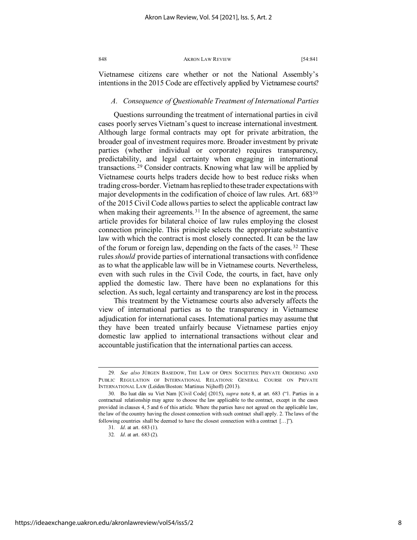Vietnamese citizens care whether or not the National Assembly's intentions in the 2015 Code are effectively applied by Vietnamese courts?

# *A. Consequence of Questionable Treatment of International Parties*

Questions surrounding the treatment of international parties in civil cases poorly serves Vietnam's quest to increase international investment. Although large formal contracts may opt for private arbitration, the broader goal of investment requires more. Broader investment by private parties (whether individual or corporate) requires transparency, predictability, and legal certainty when engaging in international transactions. [29](#page-8-0) Consider contracts. Knowing what law will be applied by Vietnamese courts helps traders decide how to best reduce risks when trading cross-border. Vietnam has replied to these trader expectations with major developments in the codification of choice of law rules. Art. 68[330](#page-8-1) of the 2015 Civil Code allows parties to select the applicable contract law when making their agreements.<sup>[31](#page-8-2)</sup> In the absence of agreement, the same article provides for bilateral choice of law rules employing the closest connection principle. This principle selects the appropriate substantive law with which the contract is most closely connected. It can be the law of the forum or foreign law, depending on the facts of the cases. [32](#page-8-3) These rules *should* provide parties of international transactions with confidence as to what the applicable law will be in Vietnamese courts. Nevertheless, even with such rules in the Civil Code, the courts, in fact, have only applied the domestic law. There have been no explanations for this selection. As such, legal certainty and transparency are lost in the process.

This treatment by the Vietnamese courts also adversely affects the view of international parties as to the transparency in Vietnamese adjudication for international cases. International parties may assume that they have been treated unfairly because Vietnamese parties enjoy domestic law applied to international transactions without clear and accountable justification that the international parties can access.

<span id="page-8-0"></span><sup>29</sup>*. See also* JÜRGEN BASEDOW, THE LAW OF OPEN SOCIETIES: PRIVATE ORDERING AND PUBLIC REGULATION OF INTERNATIONAL RELATIONS: GENERAL COURSE ON PRIVATE INTERNATIONAL LAW (Leiden/Boston: Martinus Nijhoff) (2013).

<span id="page-8-3"></span><span id="page-8-2"></span><span id="page-8-1"></span><sup>30.</sup> Bo luat dân su Viet Nam [Civil Code] (2015), *supra* note 8, at art. 683 ("1. Parties in a contractual relationship may agree to choose the law applicable to the contract, except in the cases provided in clauses 4, 5 and 6 of this article. Where the parties have not agreed on the applicable law, the law of the country having the closest connection with such contract shall apply. 2. The laws of the following countries shall be deemed to have the closest connection with a contract […]").

<sup>31</sup>*. Id*. at art. 683 (1).

<sup>32</sup>*. Id*. at art. 683 (2).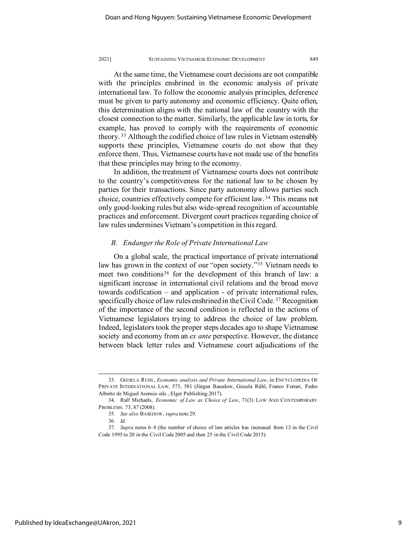At the same time, the Vietnamese court decisions are not compatible with the principles enshrined in the economic analysis of private international law. To follow the economic analysis principles, deference must be given to party autonomy and economic efficiency. Quite often, this determination aligns with the national law of the country with the closest connection to the matter. Similarly, the applicable law in torts, for example, has proved to comply with the requirements of economic theory. [33](#page-9-0) Although the codified choice of law rules in Vietnam ostensibly supports these principles, Vietnamese courts do not show that they enforce them. Thus, Vietnamese courts have not made use of the benefits that these principles may bring to the economy.

In addition, the treatment of Vietnamese courts does not contribute to the country's competitiveness for the national law to be chosen by parties for their transactions. Since party autonomy allows parties such choice, countries effectively compete for efficient law. [34](#page-9-1) This means not only good-looking rules but also wide-spread recognition of accountable practices and enforcement. Divergent court practices regarding choice of law rules undermines Vietnam's competition in this regard.

# *B. Endanger the Role of Private International Law*

On a global scale, the practical importance of private international law has grown in the context of our "open society."[35](#page-9-2) Vietnam needs to meet two conditions<sup>[36](#page-9-3)</sup> for the development of this branch of law: a significant increase in international civil relations and the broad move towards codification – and application - of private international rules, specifically choice of law rules enshrined in the Civil Code. [37](#page-9-4) Recognition of the importance of the second condition is reflected in the actions of Vietnamese legislators trying to address the choice of law problem. Indeed, legislators took the proper steps decades ago to shape Vietnamese society and economy from an *ex ante* perspective. However, the distance between black letter rules and Vietnamese court adjudications of the

<span id="page-9-0"></span> <sup>33.</sup> GIESELA RÜHL, *Economic analysis and Private International Law*, in ENCYCLOPEDIA OF PRIVATE INTERNATIONAL LAW, 575, 581 (Jürgen Basedow, Giesela Rühl, Franco Ferrari, Pedro Alberto de Miguel Asensio eds., Elger Publishing 2017).

<span id="page-9-1"></span><sup>34.</sup> Ralf Michaels, *Economic of Law as Choice of Law*, 71(3) LAW AND CONTEMPORARY PROBLEMS. 73, 87 (2008).

<sup>35</sup>*. See also* BASEDOW, *supra* note 29.

<sup>36</sup>*. Id*.

<span id="page-9-4"></span><span id="page-9-3"></span><span id="page-9-2"></span><sup>37</sup>*. Supra* notes 6–8 (the number of choice of law articles has increased from 13 in the Civil Code 1995 to 20 in the Civil Code 2005 and then 25 in the Civil Code 2015).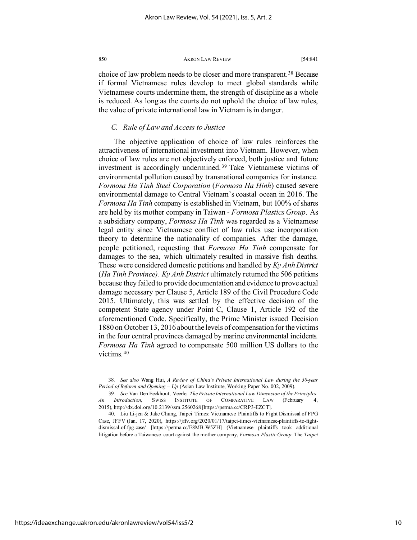choice of law problem needs to be closer and more transparent.<sup>[38](#page-10-0)</sup> Because if formal Vietnamese rules develop to meet global standards while Vietnamese courts undermine them, the strength of discipline as a whole is reduced. As long as the courts do not uphold the choice of law rules, the value of private international law in Vietnam is in danger.

# *C. Rule of Law and Access to Justice*

The objective application of choice of law rules reinforces the attractiveness of international investment into Vietnam. However, when choice of law rules are not objectively enforced, both justice and future investment is accordingly undermined. [39](#page-10-1) Take Vietnamese victims of environmental pollution caused by transnational companies for instance. *Formosa Ha Tinh Steel Corporation* (*Formosa Ha Hinh*) caused severe environmental damage to Central Vietnam's coastal ocean in 2016. The *Formosa Ha Tinh* company is established in Vietnam, but 100% of shares are held by its mother company in Taiwan - *Formosa Plastics Group*. As a subsidiary company, *Formosa Ha Tinh* was regarded as a Vietnamese legal entity since Vietnamese conflict of law rules use incorporation theory to determine the nationality of companies. After the damage, people petitioned, requesting that *Formosa Ha Tinh* compensate for damages to the sea, which ultimately resulted in massive fish deaths. These were considered domestic petitions and handled by *Ky Anh District* (*Ha Tinh Province)*. *Ky Anh District* ultimately returned the 506 petitions because they failed to provide documentation and evidence to prove actual damage necessary per Clause 5, Article 189 of the Civil Procedure Code 2015. Ultimately, this was settled by the effective decision of the competent State agency under Point C, Clause 1, Article 192 of the aforementioned Code. Specifically, the Prime Minister issued Decision 1880 on October 13, 2016 about the levels of compensation for the victims in the four central provinces damaged by marine environmental incidents. *Formosa Ha Tinh* agreed to compensate 500 million US dollars to the victims. [40](#page-10-2)

<span id="page-10-0"></span><sup>38</sup>*. See also* Wang Hui, *A Review of China's Private International Law during the 30-year Period of Reform and Opening – Up* (Asian Law Institute, Working Paper No. 002, 2009).

<span id="page-10-1"></span><sup>39</sup>*. See* Van Den Eeckhout, Veerle, *The Private International Law Dimension of the Principles. An Introduction,* SWISS INSTITUTE OF COMPARATIVE LAW (February 4, 2015)[, http://dx.doi.org/10.2139/ssrn.2560268](https://dx.doi.org/10.2139/ssrn.2560268) [https://perma.cc/CRP3-EZCT].

<span id="page-10-2"></span><sup>40.</sup> Liu Li-jen & Jake Chung, Taipei Times: Vietnamese Plaintiffs to Fight Dismissal of FPG Case, JFFV (Jan. 17, 2020), https://jffv.org/2020/01/17/taipei-times-vietnamese-plaintiffs-to-fightdismissal-of-fpg-case/ [https://perma.cc/E8MB-W5ZH] (Vietnamese plaintiffs took additional litigation before a Taiwanese court against the mother company, *Formosa Plastic Group*. The *Taipei*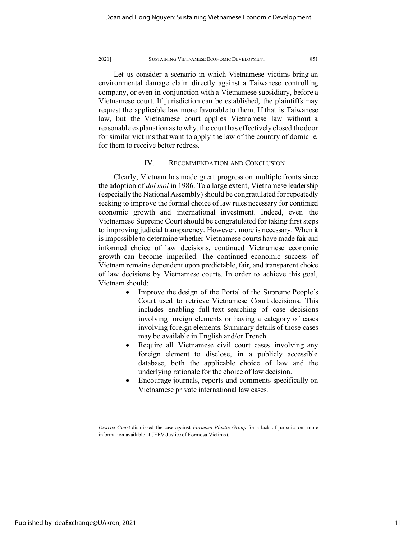Let us consider a scenario in which Vietnamese victims bring an environmental damage claim directly against a Taiwanese controlling company, or even in conjunction with a Vietnamese subsidiary, before a Vietnamese court. If jurisdiction can be established, the plaintiffs may request the applicable law more favorable to them. If that is Taiwanese law, but the Vietnamese court applies Vietnamese law without a reasonable explanation as to why, the court has effectively closed the door for similar victims that want to apply the law of the country of domicile, for them to receive better redress.

# IV. RECOMMENDATION AND CONCLUSION

Clearly, Vietnam has made great progress on multiple fronts since the adoption of *doi moi* in 1986. To a large extent, Vietnamese leadership (especially the National Assembly) should be congratulated for repeatedly seeking to improve the formal choice of law rules necessary for continued economic growth and international investment. Indeed, even the Vietnamese Supreme Court should be congratulated for taking first steps to improving judicial transparency. However, more is necessary. When it is impossible to determine whether Vietnamese courts have made fair and informed choice of law decisions, continued Vietnamese economic growth can become imperiled. The continued economic success of Vietnam remains dependent upon predictable, fair, and transparent choice of law decisions by Vietnamese courts. In order to achieve this goal, Vietnam should:

- Improve the design of the Portal of the Supreme People's Court used to retrieve Vietnamese Court decisions. This includes enabling full-text searching of case decisions involving foreign elements or having a category of cases involving foreign elements. Summary details of those cases may be available in English and/or French.
- Require all Vietnamese civil court cases involving any foreign element to disclose, in a publicly accessible database, both the applicable choice of law and the underlying rationale for the choice of law decision.
- Encourage journals, reports and comments specifically on Vietnamese private international law cases.

*District Court* dismissed the case against *Formosa Plastic Group* for a lack of jurisdiction; more information available at JFFV-Justice of Formosa Victims).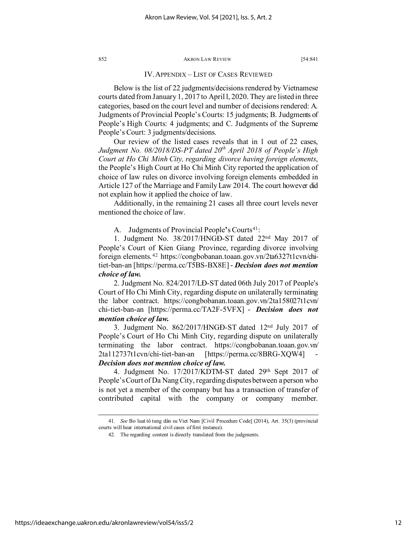# IV. APPENDIX – LIST OF CASES REVIEWED

Below is the list of 22 judgments/decisions rendered by Vietnamese courts dated from January 1, 2017 to April l, 2020. They are listed in three categories, based on the court level and number of decisions rendered: A. Judgments of Provincial People's Courts: 15 judgments; B. Judgments of People's High Courts: 4 judgments; and C. Judgments of the Supreme People's Court: 3 judgments/decisions.

Our review of the listed cases reveals that in 1 out of 22 cases, *Judgment No. 08/2018/DS-PT dated 20th April 2018 of People's High Court at Ho Chi Minh City, regarding divorce having foreign elements*, the People's High Court at Ho Chi Minh City reported the application of choice of law rules on divorce involving foreign elements embedded in Article 127 of the Marriage and Family Law 2014. The court however did not explain how it applied the choice of law.

Additionally, in the remaining 21 cases all three court levels never mentioned the choice of law.

A. Judgments of Provincial People's Courts<sup>[41](#page-12-0)</sup>:

1. Judgment No. 38/2017/HNGĐ-ST dated 22nd May 2017 of People's Court of Kien Giang Province, regarding divorce involving foreign elements. [42](#page-12-1) https://congbobanan.toaan.gov.vn/2ta6327t1cvn/chitiet-ban-an [https://perma.cc/T5BS-BX8E] - *Decision does not mention choice of law.*

2. Judgment No. 824/2017/LĐ-ST dated 06th July 2017 of People's Court of Ho Chi Minh City, regarding dispute on unilaterally terminating the labor contract. https://congbobanan.toaan.gov.vn/2ta158027t1cvn/ chi-tiet-ban-an [https://perma.cc/TA2F-5VFX] - *Decision does not mention choice of law.*

3. Judgment No.  $862/2017$ /HNGĐ-ST dated  $12<sup>nd</sup>$  July 2017 of People's Court of Ho Chi Minh City, regarding dispute on unilaterally terminating the labor contract. https://congbobanan.toaan.gov.vn/ 2ta112737t1cvn/chi-tiet-ban-an [https://perma.cc/8BRG-XQW4] - *Decision does not mention choice of law.*

4. Judgment No. 17/2017/KDTM-ST dated 29th Sept 2017 of People's Court of Da Nang City, regarding disputes between a person who is not yet a member of the company but has a transaction of transfer of contributed capital with the company or company member.

<span id="page-12-1"></span><span id="page-12-0"></span><sup>41</sup>*. See* Bo luat tô tung dân su Viet Nam [Civil Procedure Code] (2014), Art. 35(3) (provincial courts will hear international civil cases of first instance).

<sup>42.</sup> The regarding content is directly translated from the judgments.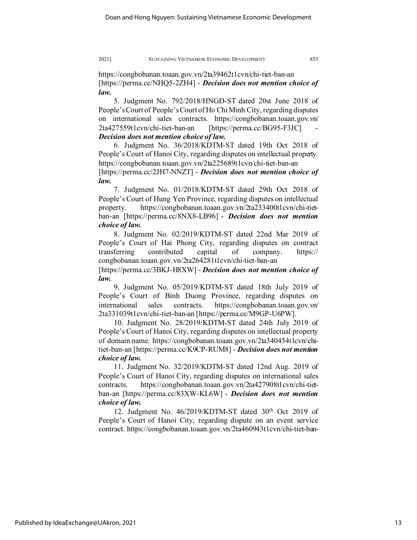https://congbobanan.toaan.gov.vn/2ta39462t1cvn/chi-tiet-ban-an [https://perma.cc/NHQ5-2ZH4] - *Decision does not mention choice of law.*

5. Judgment No. 792/2018/HNGĐ-ST dated 20st June 2018 of People'sCourt of People's Court of Ho Chi Minh City, regarding disputes on international sales contracts. https://congbobanan.toaan.gov.vn/ 2ta427559t1cvn/chi-tiet-ban-an [https://perma.cc/BG95-F3JC] - *Decision does not mention choice of law.*

6. Judgment No. 36/2018/KDTM-ST dated 19th Oct 2018 of People's Court of Hanoi City, regarding disputes on intellectual property. https://congbobanan.toaan.gov.vn/2ta225689t1cvn/chi-tiet-ban-an [https://perma.cc/2JH7-NNZT] - *Decision does not mention choice of law.*

7. Judgment No. 01/2018/KDTM-ST dated 29th Oct 2018 of People's Court of Hung Yen Province, regarding disputes on intellectual property. https://congbobanan.toaan.gov.vn/2ta233400t1cvn/chi-tietban-an [https://perma.cc/8NX8-LB96] - *Decision does not mention choice of law.*

8. Judgment No. 02/2019/KDTM-ST dated 22nd Mar 2019 of People's Court of Hai Phong City, regarding disputes on contract transferring contributed capital of company. https:// congbobanan.toaan.gov.vn/2ta264281t1cvn/chi-tiet-ban-an

[https://perma.cc/3BKJ-H8XW] - *Decision does not mention choice of law.*

9. Judgment No. 05/2019/KDTM-ST dated 18th July 2019 of People's Court of Binh Duong Province, regarding disputes on international sales contracts. https://congbobanan.toaan.gov.vn/ 2ta331039t1cvn/chi-tiet-ban-an [https://perma.cc/M9GP-U6PW].

10. Judgment No. 28/2019/KDTM-ST dated 24th July 2019 of People's Court of Hanoi City, regarding disputes on intellectual property of domain name. https://congbobanan.toaan.gov.vn/2ta340454t1cvn/chitiet-ban-an [https://perma.cc/K9CP-RUM8] - *Decision does not mention choice of law.*

11. Judgment No. 32/2019/KDTM-ST dated 12nd Aug. 2019 of People's Court of Hanoi City, regarding disputes on international sales contracts. https://congbobanan.toaan.gov.vn/2ta427908t1cvn/chi-tietban-an [https://perma.cc/83XW-KL6W] - *Decision does not mention choice of law.*

12. Judgment No. 46/2019/KDTM-ST dated 30th Oct 2019 of People's Court of Hanoi City, regarding dispute on an event service contract. https://congbobanan.toaan.gov.vn/2ta460943t1cvn/chi-tiet-ban-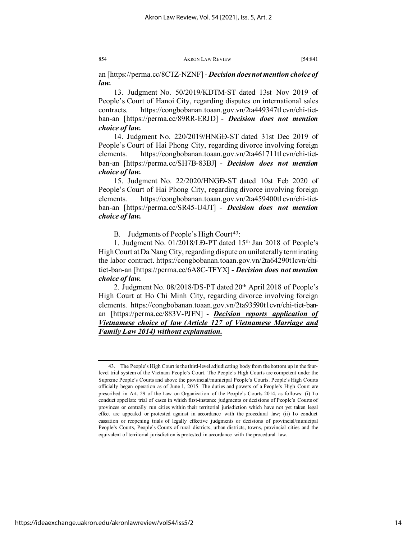an [https://perma.cc/8CTZ-NZNF] - *Decision does not mention choice of law.*

13. Judgment No. 50/2019/KDTM-ST dated 13st Nov 2019 of People's Court of Hanoi City, regarding disputes on international sales contracts. https://congbobanan.toaan.gov.vn/2ta449347t1cvn/chi-tietban-an [https://perma.cc/89RR-ERJD] - *Decision does not mention choice of law.*

14. Judgment No. 220/2019/HNGĐ-ST dated 31st Dec 2019 of People's Court of Hai Phong City, regarding divorce involving foreign elements. https://congbobanan.toaan.gov.vn/2ta461711t1cvn/chi-tietban-an [https://perma.cc/SH7B-83BJ] - *Decision does not mention choice of law.*

15. Judgment No. 22/2020/HNGĐ-ST dated 10st Feb 2020 of People's Court of Hai Phong City, regarding divorce involving foreign elements. https://congbobanan.toaan.gov.vn/2ta459400t1cvn/chi-tietban-an [https://perma.cc/SR45-U4JT] - *Decision does not mention choice of law.*

B. Judgments of People's High Court<sup>[43](#page-14-0)</sup>:

1. Judgment No. 01/2018/LĐ-PT dated 15th Jan 2018 of People's High Court at Da Nang City, regarding dispute on unilaterally terminating the labor contract. https://congbobanan.toaan.gov.vn/2ta64290t1cvn/chitiet-ban-an [https://perma.cc/6A8C-TFYX] - *Decision does not mention choice of law.*

2. Judgment No. 08/2018/DS-PT dated 20th April 2018 of People's High Court at Ho Chi Minh City, regarding divorce involving foreign elements. https://congbobanan.toaan.gov.vn/2ta93590t1cvn/chi-tiet-banan [https://perma.cc/883V-PJFN] - *Decision reports application of Vietnamese choice of law (Article 127 of Vietnamese Marriage and Family Law 2014) without explanation.*

https://ideaexchange.uakron.edu/akronlawreview/vol54/iss5/2

<span id="page-14-0"></span><sup>43.</sup> The People's High Court is the third-level adjudicating body from the bottom up in the fourlevel trial system of the Vietnam People's Court. The People's High Courts are competent under the Supreme People's Courts and above the provincial/municipal People's Courts. People's High Courts officially began operation as of June 1, 2015. The duties and powers of a People's High Court are prescribed in Art. 29 of the Law on Organization of the People's Courts 2014, as follows: (i) To conduct appellate trial of cases in which first-instance judgments or decisions of People's Courts of provinces or centrally run cities within their territorial jurisdiction which have not yet taken legal effect are appealed or protested against in accordance with the procedural law; (ii) To conduct cassation or reopening trials of legally effective judgments or decisions of provincial/municipal People's Courts, People's Courts of rural districts, urban districts, towns, provincial cities and the equivalent of territorial jurisdiction is protested in accordance with the procedural law.